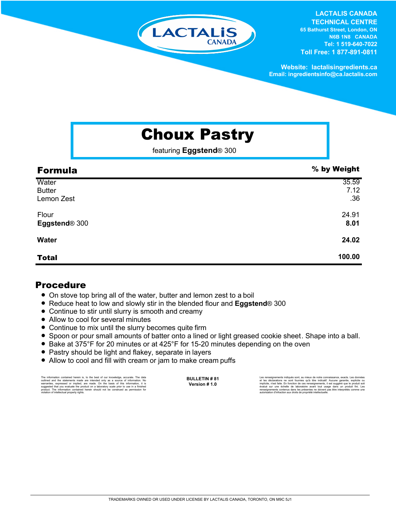

**LACTALIS CANADA TECHNICAL CENTRE 65 Bathurst Street, London, ON N6B 1N8 CANADA Tel: 1 519-640-7022** 

**Toll Free: 1 877-891-0811**

**Website: lactalisingredients.ca Email: ingredientsinfo@ca.lactalis.com**

## Choux Pastry

featuring **Eggstend**® 300

| <b>Formula</b>                       | % by Weight          |
|--------------------------------------|----------------------|
| Water<br><b>Butter</b><br>Lemon Zest | 35.59<br>7.12<br>.36 |
| Flour<br>Eggstend® 300               | 24.91<br>8.01        |
| <b>Water</b>                         | 24.02                |
| <b>Total</b>                         | 100.00               |

## Procedure

- On stove top bring all of the water, butter and lemon zest to a boil
- Reduce heat to low and slowly stir in the blended flour and **Eggstend**<sup>®</sup> 300
- Continue to stir until slurry is smooth and creamy
- Allow to cool for several minutes
- Continue to mix until the slurry becomes quite firm
- = Spoon or pour small amounts of batter onto a lined or light greased cookie sheet. Shape into a ball.
- Bake at 375°F for 20 minutes or at 425°F for 15-20 minutes depending on the oven
- Pastry should be light and flakey, separate in layers
- Allow to cool and fill with cream or jam to make cream puffs

The information contained herein is, to the best of our knowledge, accurate. The data<br>outlined and the statements made are intended only as a source of information. No<br>warranties, expressed or implied, are made. On the bas product. The information contained herein should not be construed as permission for violation of intellectual property rights. **BULLETIN # 81 Version # 1.0**

Les renseignements indiqués sont, au mieux de notre connaissance, exacts. Les données<br>et les déclarations ne sont fournies qu'à titre indicatif. Aucune garantie, explicite ou<br>implicite, n'est faite. En fonction de ces rens renseignements contenus dans les présentes ne doivent pas être interprétés comme une autorisation d'infraction aux droits de propriété intellectuelle.